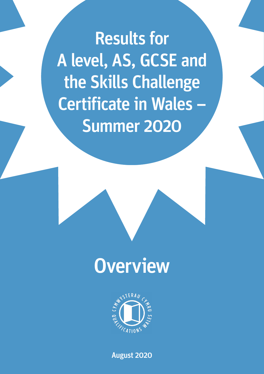Results for A level, AS, GCSE and the Skills Challenge Certificate in Wales – Summer 2020





August 2020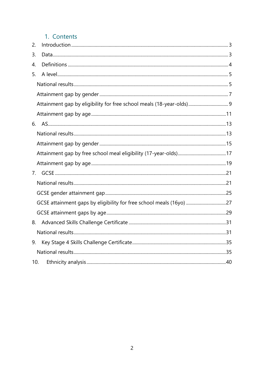# 1. Contents

| 2.  |                                                                      |  |
|-----|----------------------------------------------------------------------|--|
| 3.  |                                                                      |  |
| 4.  |                                                                      |  |
| 5.  |                                                                      |  |
|     |                                                                      |  |
|     |                                                                      |  |
|     | Attainment gap by eligibility for free school meals (18-year-olds) 9 |  |
|     |                                                                      |  |
|     |                                                                      |  |
|     |                                                                      |  |
|     |                                                                      |  |
|     |                                                                      |  |
|     |                                                                      |  |
| 7.  |                                                                      |  |
|     |                                                                      |  |
|     |                                                                      |  |
|     | GCSE attainment gaps by eligibility for free school meals (16yo) 27  |  |
|     |                                                                      |  |
| 8.  |                                                                      |  |
|     |                                                                      |  |
| 9.  |                                                                      |  |
|     |                                                                      |  |
| 10. |                                                                      |  |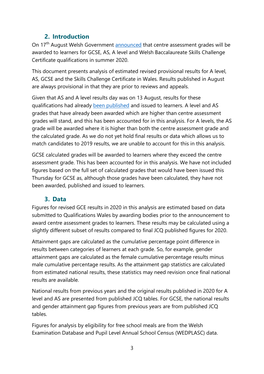# **2. Introduction**

<span id="page-2-0"></span>On 17<sup>th</sup> August Welsh Government [announced](https://gov.wales/statement-minister-education-kirsty-williams) that centre assessment grades will be awarded to learners for GCSE, AS, A level and Welsh Baccalaureate Skills Challenge Certificate qualifications in summer 2020.

This document presents analysis of estimated revised provisional results for A level, AS, GCSE and the Skills Challenge Certificate in Wales. Results published in August are always provisional in that they are prior to reviews and appeals.

Given that AS and A level results day was on 13 August, results for these qualifications had already [been published](https://www.qualificationswales.org/media/6425/overview-of-as-a-level-and-advanced-skills-challenge-certificate-results-in-wales-summer-2020.pdf) and issued to learners. A level and AS grades that have already been awarded which are higher than centre assessment grades will stand, and this has been accounted for in this analysis. For A levels, the AS grade will be awarded where it is higher than both the centre assessment grade and the calculated grade. As we do not yet hold final results or data which allows us to match candidates to 2019 results, we are unable to account for this in this analysis.

GCSE calculated grades will be awarded to learners where they exceed the centre assessment grade. This has been accounted for in this analysis. We have not included figures based on the full set of calculated grades that would have been issued this Thursday for GCSE as, although those grades have been calculated, they have not been awarded, published and issued to learners.

# **3. Data**

<span id="page-2-1"></span>Figures for revised GCE results in 2020 in this analysis are estimated based on data submitted to Qualifications Wales by awarding bodies prior to the announcement to award centre assessment grades to learners. These results may be calculated using a slightly different subset of results compared to final JCQ published figures for 2020.

Attainment gaps are calculated as the cumulative percentage point difference in results between categories of learners at each grade. So, for example, gender attainment gaps are calculated as the female cumulative percentage results minus male cumulative percentage results. As the attainment gap statistics are calculated from estimated national results, these statistics may need revision once final national results are available.

National results from previous years and the original results published in 2020 for A level and AS are presented from published JCQ tables. For GCSE, the national results and gender attainment gap figures from previous years are from published JCQ tables.

Figures for analysis by eligibility for free school meals are from the Welsh Examination Database and Pupil Level Annual School Census (WEDPLASC) data.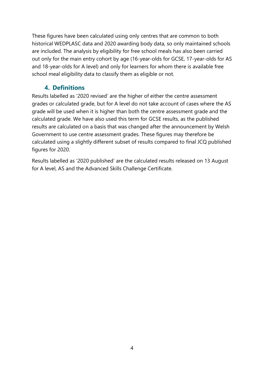These figures have been calculated using only centres that are common to both historical WEDPLASC data and 2020 awarding body data, so only maintained schools are included. The analysis by eligibility for free school meals has also been carried out only for the main entry cohort by age (16-year-olds for GCSE, 17-year-olds for AS and 18-year-olds for A level) and only for learners for whom there is available free school meal eligibility data to classify them as eligible or not.

## **4. Definitions**

<span id="page-3-0"></span>Results labelled as '2020 revised' are the higher of either the centre assessment grades or calculated grade, but for A level do not take account of cases where the AS grade will be used when it is higher than both the centre assessment grade and the calculated grade. We have also used this term for GCSE results, as the published results are calculated on a basis that was changed after the announcement by Welsh Government to use centre assessment grades. These figures may therefore be calculated using a slightly different subset of results compared to final JCQ published figures for 2020.

Results labelled as '2020 published' are the calculated results released on 13 August for A level, AS and the Advanced Skills Challenge Certificate.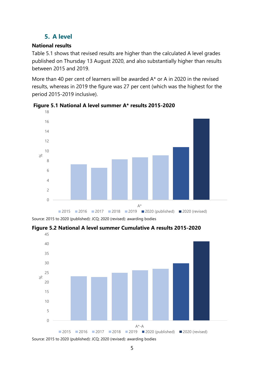# **5. A level**

## <span id="page-4-1"></span><span id="page-4-0"></span>**National results**

Table 5.1 shows that revised results are higher than the calculated A level grades published on Thursday 13 August 2020, and also substantially higher than results between 2015 and 2019.

More than 40 per cent of learners will be awarded A\* or A in 2020 in the revised results, whereas in 2019 the figure was 27 per cent (which was the highest for the period 2015-2019 inclusive).



**Figure 5.1 National A level summer A\* results 2015-2020**

Source: 2015 to 2020 (published): JCQ; 2020 (revised): awarding bodies

**Figure 5.2 National A level summer Cumulative A results 2015-2020**



Source: 2015 to 2020 (published): JCQ; 2020 (revised): awarding bodies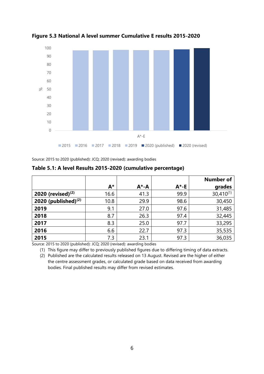

**Figure 5.3 National A level summer Cumulative E results 2015-2020**

Source: 2015 to 2020 (published): JCQ; 2020 (revised): awarding bodies

|                        |       |           |          | <b>Number of</b> |
|------------------------|-------|-----------|----------|------------------|
|                        | $A^*$ | $A^* - A$ | $A^*$ -E | grades           |
| 2020 (revised) $(2)$   | 16.6  | 41.3      | 99.9     | $30,410^{(1)}$   |
| 2020 (published) $(2)$ | 10.8  | 29.9      | 98.6     | 30,450           |
| 2019                   | 9.1   | 27.0      | 97.6     | 31,485           |
| 2018                   | 8.7   | 26.3      | 97.4     | 32,445           |
| 2017                   | 8.3   | 25.0      | 97.7     | 33,295           |
| 2016                   | 6.6   | 22.7      | 97.3     | 35,535           |
| 2015                   | 7.3   | 23.1      | 97.3     | 36,035           |

**Table 5.1: A level Results 2015-2020 (cumulative percentage)**

Source: 2015 to 2020 (published): JCQ; 2020 (revised): awarding bodies

(1) This figure may differ to previously published figures due to differing timing of data extracts.

(2) Published are the calculated results released on 13 August. Revised are the higher of either the centre assessment grades, or calculated grade based on data received from awarding bodies. Final published results may differ from revised estimates.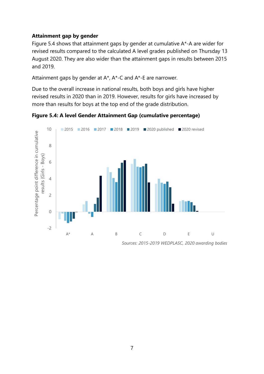#### <span id="page-6-0"></span>**Attainment gap by gender**

Figure 5.4 shows that attainment gaps by gender at cumulative A\*-A are wider for revised results compared to the calculated A level grades published on Thursday 13 August 2020. They are also wider than the attainment gaps in results between 2015 and 2019.

Attainment gaps by gender at A\*, A\*-C and A\*-E are narrower.

Due to the overall increase in national results, both boys and girls have higher revised results in 2020 than in 2019. However, results for girls have increased by more than results for boys at the top end of the grade distribution.

**Figure 5.4: A level Gender Attainment Gap (cumulative percentage)**

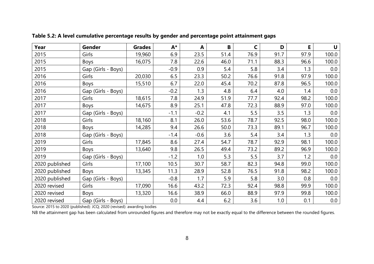| Year           | Gender             | <b>Grades</b> | A*     | A      | B    | $\mathsf{C}$ | D    | E    | U     |
|----------------|--------------------|---------------|--------|--------|------|--------------|------|------|-------|
| 2015           | Girls              | 19,960        | 6.9    | 23.5   | 51.4 | 76.9         | 91.7 | 97.9 | 100.0 |
| 2015           | Boys               | 16,075        | 7.8    | 22.6   | 46.0 | 71.1         | 88.3 | 96.6 | 100.0 |
| 2015           | Gap (Girls - Boys) |               | $-0.9$ | 0.9    | 5.4  | 5.8          | 3.4  | 1.3  | 0.0   |
| 2016           | Girls              | 20,030        | 6.5    | 23.3   | 50.2 | 76.6         | 91.8 | 97.9 | 100.0 |
| 2016           | Boys               | 15,510        | 6.7    | 22.0   | 45.4 | 70.2         | 87.8 | 96.5 | 100.0 |
| 2016           | Gap (Girls - Boys) |               | $-0.2$ | 1.3    | 4.8  | 6.4          | 4.0  | 1.4  | 0.0   |
| 2017           | Girls              | 18,615        | 7.8    | 24.9   | 51.9 | 77.7         | 92.4 | 98.2 | 100.0 |
| 2017           | Boys               | 14,675        | 8.9    | 25.1   | 47.8 | 72.3         | 88.9 | 97.0 | 100.0 |
| 2017           | Gap (Girls - Boys) |               | $-1.1$ | $-0.2$ | 4.1  | 5.5          | 3.5  | 1.3  | 0.0   |
| 2018           | Girls              | 18,160        | 8.1    | 26.0   | 53.6 | 78.7         | 92.5 | 98.0 | 100.0 |
| 2018           | <b>Boys</b>        | 14,285        | 9.4    | 26.6   | 50.0 | 73.3         | 89.1 | 96.7 | 100.0 |
| 2018           | Gap (Girls - Boys) |               | $-1.4$ | $-0.6$ | 3.6  | 5.4          | 3.4  | 1.3  | 0.0   |
| 2019           | Girls              | 17,845        | 8.6    | 27.4   | 54.7 | 78.7         | 92.9 | 98.1 | 100.0 |
| 2019           | <b>Boys</b>        | 13,640        | 9.8    | 26.5   | 49.4 | 73.2         | 89.2 | 96.9 | 100.0 |
| 2019           | Gap (Girls - Boys) |               | $-1.2$ | 1.0    | 5.3  | 5.5          | 3.7  | 1.2  | 0.0   |
| 2020 published | Girls              | 17,100        | 10.5   | 30.7   | 58.7 | 82.3         | 94.8 | 99.0 | 100.0 |
| 2020 published | <b>Boys</b>        | 13,345        | 11.3   | 28.9   | 52.8 | 76.5         | 91.8 | 98.2 | 100.0 |
| 2020 published | Gap (Girls - Boys) |               | $-0.8$ | 1.7    | 5.9  | 5.8          | 3.0  | 0.8  | 0.0   |
| 2020 revised   | Girls              | 17,090        | 16.6   | 43.2   | 72.3 | 92.4         | 98.8 | 99.9 | 100.0 |
| 2020 revised   | Boys               | 13,320        | 16.6   | 38.9   | 66.0 | 88.9         | 97.9 | 99.8 | 100.0 |
| 2020 revised   | Gap (Girls - Boys) |               | 0.0    | 4.4    | 6.2  | 3.6          | 1.0  | 0.1  | 0.0   |

**Table 5.2: A level cumulative percentage results by gender and percentage point attainment gaps** 

Source: 2015 to 2020 (published): JCQ; 2020 (revised): awarding bodies

NB the attainment gap has been calculated from unrounded figures and therefore may not be exactly equal to the difference between the rounded figures.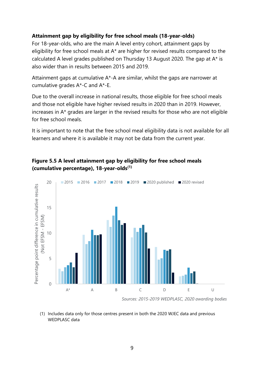#### <span id="page-8-0"></span>**Attainment gap by eligibility for free school meals (18-year-olds)**

For 18-year-olds, who are the main A level entry cohort, attainment gaps by eligibility for free school meals at A\* are higher for revised results compared to the calculated A level grades published on Thursday 13 August 2020. The gap at A\* is also wider than in results between 2015 and 2019.

Attainment gaps at cumulative A\*-A are similar, whilst the gaps are narrower at cumulative grades A\*-C and A\*-E.

Due to the overall increase in national results, those eligible for free school meals and those not eligible have higher revised results in 2020 than in 2019. However, increases in A\* grades are larger in the revised results for those who are not eligible for free school meals.

It is important to note that the free school meal eligibility data is not available for all learners and where it is available it may not be data from the current year.

### **Figure 5.5 A level attainment gap by eligibility for free school meals (cumulative percentage), 18-year-olds(1)**



<sup>(1)</sup> Includes data only for those centres present in both the 2020 WJEC data and previous WEDPLASC data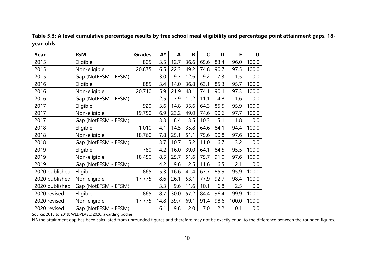| Table 5.3: A level cumulative percentage results by free school meal eligibility and percentage point attainment gaps, 18- |  |  |
|----------------------------------------------------------------------------------------------------------------------------|--|--|
| year-olds                                                                                                                  |  |  |

| Year           | <b>FSM</b>           | <b>Grades</b> | A*   | A    | B    | C    | D    | E     | U     |
|----------------|----------------------|---------------|------|------|------|------|------|-------|-------|
| 2015           | Eligible             | 805           | 3.5  | 12.7 | 36.6 | 65.6 | 83.4 | 96.0  | 100.0 |
| 2015           | Non-eligible         | 20,875        | 6.5  | 22.3 | 49.2 | 74.8 | 90.7 | 97.5  | 100.0 |
| 2015           | Gap (NotEFSM - EFSM) |               | 3.0  | 9.7  | 12.6 | 9.2  | 7.3  | 1.5   | 0.0   |
| 2016           | Eligible             | 885           | 3.4  | 14.0 | 36.8 | 63.1 | 85.3 | 95.7  | 100.0 |
| 2016           | Non-eligible         | 20,710        | 5.9  | 21.9 | 48.1 | 74.1 | 90.1 | 97.3  | 100.0 |
| 2016           | Gap (NotEFSM - EFSM) |               | 2.5  | 7.9  | 11.2 | 11.1 | 4.8  | 1.6   | 0.0   |
| 2017           | Eligible             | 920           | 3.6  | 14.8 | 35.6 | 64.3 | 85.5 | 95.9  | 100.0 |
| 2017           | Non-eligible         | 19,750        | 6.9  | 23.2 | 49.0 | 74.6 | 90.6 | 97.7  | 100.0 |
| 2017           | Gap (NotEFSM - EFSM) |               | 3.3  | 8.4  | 13.5 | 10.3 | 5.1  | 1.8   | 0.0   |
| 2018           | Eligible             | 1,010         | 4.1  | 14.5 | 35.8 | 64.6 | 84.1 | 94.4  | 100.0 |
| 2018           | Non-eligible         | 18,760        | 7.8  | 25.1 | 51.1 | 75.6 | 90.8 | 97.6  | 100.0 |
| 2018           | Gap (NotEFSM - EFSM) |               | 3.7  | 10.7 | 15.2 | 11.0 | 6.7  | 3.2   | 0.0   |
| 2019           | Eligible             | 780           | 4.2  | 16.0 | 39.0 | 64.1 | 84.5 | 95.5  | 100.0 |
| 2019           | Non-eligible         | 18,450        | 8.5  | 25.7 | 51.6 | 75.7 | 91.0 | 97.6  | 100.0 |
| 2019           | Gap (NotEFSM - EFSM) |               | 4.2  | 9.6  | 12.5 | 11.6 | 6.5  | 2.1   | 0.0   |
| 2020 published | Eligible             | 865           | 5.3  | 16.6 | 41.4 | 67.7 | 85.9 | 95.9  | 100.0 |
| 2020 published | Non-eligible         | 17,775        | 8.6  | 26.1 | 53.1 | 77.9 | 92.7 | 98.4  | 100.0 |
| 2020 published | Gap (NotEFSM - EFSM) |               | 3.3  | 9.6  | 11.6 | 10.1 | 6.8  | 2.5   | 0.0   |
| 2020 revised   | Eligible             | 865           | 8.7  | 30.0 | 57.2 | 84.4 | 96.4 | 99.9  | 100.0 |
| 2020 revised   | Non-eligible         | 17,775        | 14.8 | 39.7 | 69.1 | 91.4 | 98.6 | 100.0 | 100.0 |
| 2020 revised   | Gap (NotEFSM - EFSM) |               | 6.1  | 9.8  | 12.0 | 7.0  | 2.2  | 0.1   | 0.0   |

Source: 2015 to 2019: WEDPLASC; 2020: awarding bodies

NB the attainment gap has been calculated from unrounded figures and therefore may not be exactly equal to the difference between the rounded figures.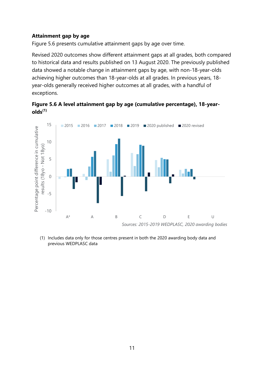#### <span id="page-10-0"></span>**Attainment gap by age**

Figure 5.6 presents cumulative attainment gaps by age over time.

Revised 2020 outcomes show different attainment gaps at all grades, both compared to historical data and results published on 13 August 2020. The previously published data showed a notable change in attainment gaps by age, with non-18-year-olds achieving higher outcomes than 18-year-olds at all grades. In previous years, 18 year-olds generally received higher outcomes at all grades, with a handful of exceptions.

**Figure 5.6 A level attainment gap by age (cumulative percentage), 18-yearolds(1)**



(1) Includes data only for those centres present in both the 2020 awarding body data and previous WEDPLASC data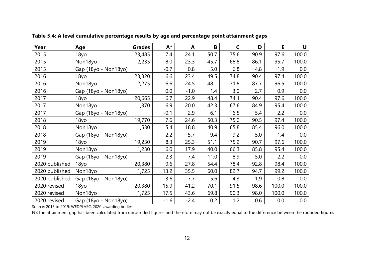| Year           | Age                  | <b>Grades</b> | $A^*$  | A      | B      | C      | D      | E      | U     |
|----------------|----------------------|---------------|--------|--------|--------|--------|--------|--------|-------|
| 2015           | 18yo                 | 23,485        | 7.4    | 24.1   | 50.7   | 75.6   | 90.9   | 97.6   | 100.0 |
| 2015           | Non18yo              | 2,235         | 8.0    | 23.3   | 45.7   | 68.8   | 86.1   | 95.7   | 100.0 |
| 2015           | Gap (18yo - Non18yo) |               | $-0.7$ | 0.8    | 5.0    | 6.8    | 4.8    | 1.9    | 0.0   |
| 2016           | 18yo                 | 23,320        | 6.6    | 23.4   | 49.5   | 74.8   | 90.4   | 97.4   | 100.0 |
| 2016           | Non18yo              | 2,275         | 6.6    | 24.5   | 48.1   | 71.8   | 87.7   | 96.5   | 100.0 |
| 2016           | Gap (18yo - Non18yo) |               | 0.0    | $-1.0$ | 1.4    | 3.0    | 2.7    | 0.9    | 0.0   |
| 2017           | 18yo                 | 20,665        | 6.7    | 22.9   | 48.4   | 74.1   | 90.4   | 97.6   | 100.0 |
| 2017           | Non18yo              | 1,370         | 6.9    | 20.0   | 42.3   | 67.6   | 84.9   | 95.4   | 100.0 |
| 2017           | Gap (18yo - Non18yo) |               | $-0.1$ | 2.9    | 6.1    | 6.5    | 5.4    | 2.2    | 0.0   |
| 2018           | 18yo                 | 19,770        | 7.6    | 24.6   | 50.3   | 75.0   | 90.5   | 97.4   | 100.0 |
| 2018           | Non18yo              | 1,530         | 5.4    | 18.8   | 40.9   | 65.8   | 85.4   | 96.0   | 100.0 |
| 2018           | Gap (18yo - Non18yo) |               | 2.2    | 5.7    | 9.4    | 9.2    | 5.0    | 1.4    | 0.0   |
| 2019           | 18yo                 | 19,230        | 8.3    | 25.3   | 51.1   | 75.2   | 90.7   | 97.6   | 100.0 |
| 2019           | Non18yo              | 1,230         | 6.0    | 17.9   | 40.0   | 66.3   | 85.8   | 95.4   | 100.0 |
| 2019           | Gap (18yo - Non18yo) |               | 2.3    | 7.4    | 11.0   | 8.9    | 5.0    | 2.2    | 0.0   |
| 2020 published | 18yo                 | 20,380        | 9.6    | 27.8   | 54.4   | 78.4   | 92.8   | 98.4   | 100.0 |
| 2020 published | Non18yo              | 1,725         | 13.2   | 35.5   | 60.0   | 82.7   | 94.7   | 99.2   | 100.0 |
| 2020 published | Gap (18yo - Non18yo) |               | $-3.6$ | $-7.7$ | $-5.6$ | $-4.3$ | $-1.9$ | $-0.8$ | 0.0   |
| 2020 revised   | 18yo                 | 20,380        | 15.9   | 41.2   | 70.1   | 91.5   | 98.6   | 100.0  | 100.0 |
| 2020 revised   | Non18yo              | 1,725         | 17.5   | 43.6   | 69.8   | 90.3   | 98.0   | 100.0  | 100.0 |
| 2020 revised   | Gap (18yo - Non18yo) |               | $-1.6$ | $-2.4$ | 0.2    | 1.2    | 0.6    | 0.0    | 0.0   |

**Table 5.4: A level cumulative percentage results by age and percentage point attainment gaps**

Source: 2015 to 2019: WEDPLASC; 2020: awarding bodies

NB the attainment gap has been calculated from unrounded figures and therefore may not be exactly equal to the difference between the rounded figures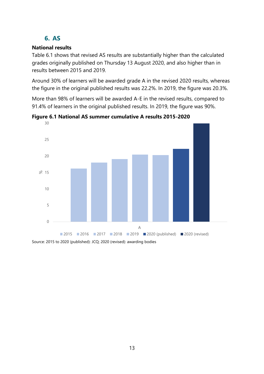# **6. AS**

### <span id="page-12-1"></span><span id="page-12-0"></span>**National results**

Table 6.1 shows that revised AS results are substantially higher than the calculated grades originally published on Thursday 13 August 2020, and also higher than in results between 2015 and 2019.

Around 30% of learners will be awarded grade A in the revised 2020 results, whereas the figure in the original published results was 22.2%. In 2019, the figure was 20.3%.

More than 98% of learners will be awarded A-E in the revised results, compared to 91.4% of learners in the original published results. In 2019, the figure was 90%.



**Figure 6.1 National AS summer cumulative A results 2015-2020**

Source: 2015 to 2020 (published): JCQ; 2020 (revised): awarding bodies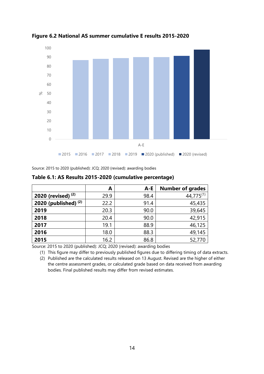

**Figure 6.2 National AS summer cumulative E results 2015-2020**

Source: 2015 to 2020 (published): JCQ; 2020 (revised): awarding bodies

|                        | A    | $A - E$ | <b>Number of grades</b> |
|------------------------|------|---------|-------------------------|
| 2020 (revised) $(2)$   | 29.9 | 98.4    | $44,775^{(1)}$          |
| 2020 (published) $(2)$ | 22.2 | 91.4    | 45,435                  |
| 2019                   | 20.3 | 90.0    | 39,645                  |
| 2018                   | 20.4 | 90.0    | 42,915                  |
| 2017                   | 19.1 | 88.9    | 46,125                  |
| 2016                   | 18.0 | 88.3    | 49,145                  |
| 2015                   | 16.2 | 86.8    | 52,770                  |

**Table 6.1: AS Results 2015-2020 (cumulative percentage)**

Source: 2015 to 2020 (published): JCQ; 2020 (revised): awarding bodies

(1) This figure may differ to previously published figures due to differing timing of data extracts.

(2) Published are the calculated results released on 13 August. Revised are the higher of either the centre assessment grades, or calculated grade based on data received from awarding bodies. Final published results may differ from revised estimates.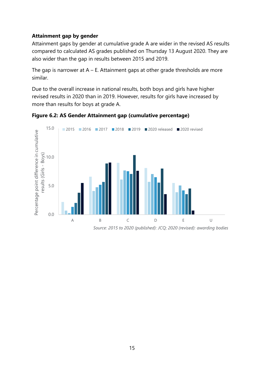#### <span id="page-14-0"></span>**Attainment gap by gender**

Attainment gaps by gender at cumulative grade A are wider in the revised AS results compared to calculated AS grades published on Thursday 13 August 2020. They are also wider than the gap in results between 2015 and 2019.

The gap is narrower at  $A - E$ . Attainment gaps at other grade thresholds are more similar.

Due to the overall increase in national results, both boys and girls have higher revised results in 2020 than in 2019. However, results for girls have increased by more than results for boys at grade A.





*Source: 2015 to 2020 (published): JCQ; 2020 (revised): awarding bodies*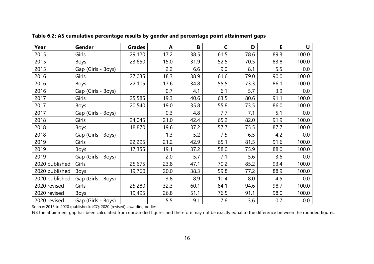| Year           | Gender             | <b>Grades</b> | A    | B    | $\mathsf{C}$ | D    | E    | $\mathbf U$ |
|----------------|--------------------|---------------|------|------|--------------|------|------|-------------|
| 2015           | Girls              | 29,120        | 17.2 | 38.5 | 61.5         | 78.6 | 89.3 | 100.0       |
| 2015           | <b>Boys</b>        | 23,650        | 15.0 | 31.9 | 52.5         | 70.5 | 83.8 | 100.0       |
| 2015           | Gap (Girls - Boys) |               | 2.2  | 6.6  | 9.0          | 8.1  | 5.5  | 0.0         |
| 2016           | Girls              | 27,035        | 18.3 | 38.9 | 61.6         | 79.0 | 90.0 | 100.0       |
| 2016           | <b>Boys</b>        | 22,105        | 17.6 | 34.8 | 55.5         | 73.3 | 86.1 | 100.0       |
| 2016           | Gap (Girls - Boys) |               | 0.7  | 4.1  | 6.1          | 5.7  | 3.9  | 0.0         |
| 2017           | Girls              | 25,585        | 19.3 | 40.6 | 63.5         | 80.6 | 91.1 | 100.0       |
| 2017           | Boys               | 20,540        | 19.0 | 35.8 | 55.8         | 73.5 | 86.0 | 100.0       |
| 2017           | Gap (Girls - Boys) |               | 0.3  | 4.8  | 7.7          | 7.1  | 5.1  | 0.0         |
| 2018           | Girls              | 24,045        | 21.0 | 42.4 | 65.2         | 82.0 | 91.9 | 100.0       |
| 2018           | <b>Boys</b>        | 18,870        | 19.6 | 37.2 | 57.7         | 75.5 | 87.7 | 100.0       |
| 2018           | Gap (Girls - Boys) |               | 1.3  | 5.2  | 7.5          | 6.5  | 4.2  | 0.0         |
| 2019           | Girls              | 22,295        | 21.2 | 42.9 | 65.1         | 81.5 | 91.6 | 100.0       |
| 2019           | <b>Boys</b>        | 17,355        | 19.1 | 37.2 | 58.0         | 75.9 | 88.0 | 100.0       |
| 2019           | Gap (Girls - Boys) |               | 2.0  | 5.7  | 7.1          | 5.6  | 3.6  | 0.0         |
| 2020 published | Girls              | 25,675        | 23.8 | 47.1 | 70.2         | 85.2 | 93.4 | 100.0       |
| 2020 published | <b>Boys</b>        | 19,760        | 20.0 | 38.3 | 59.8         | 77.2 | 88.9 | 100.0       |
| 2020 published | Gap (Girls - Boys) |               | 3.8  | 8.9  | 10.4         | 8.0  | 4.5  | 0.0         |
| 2020 revised   | Girls              | 25,280        | 32.3 | 60.1 | 84.1         | 94.6 | 98.7 | 100.0       |
| 2020 revised   | Boys               | 19,495        | 26.8 | 51.1 | 76.5         | 91.1 | 98.0 | 100.0       |
| 2020 revised   | Gap (Girls - Boys) |               | 5.5  | 9.1  | 7.6          | 3.6  | 0.7  | 0.0         |

**Table 6.2: AS cumulative percentage results by gender and percentage point attainment gaps**

Source: 2015 to 2020 (published): JCQ; 2020 (revised): awarding bodies

NB the attainment gap has been calculated from unrounded figures and therefore may not be exactly equal to the difference between the rounded figures.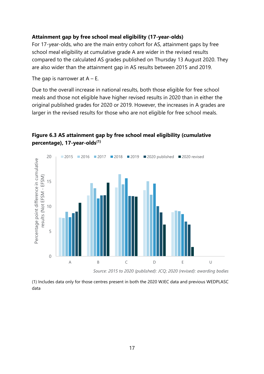#### <span id="page-16-0"></span>**Attainment gap by free school meal eligibility (17-year-olds)**

For 17-year-olds, who are the main entry cohort for AS, attainment gaps by free school meal eligibility at cumulative grade A are wider in the revised results compared to the calculated AS grades published on Thursday 13 August 2020. They are also wider than the attainment gap in AS results between 2015 and 2019.

The gap is narrower at  $A - E$ .

Due to the overall increase in national results, both those eligible for free school meals and those not eligible have higher revised results in 2020 than in either the original published grades for 2020 or 2019. However, the increases in A grades are larger in the revised results for those who are not eligible for free school meals.



**Figure 6.3 AS attainment gap by free school meal eligibility (cumulative percentage), 17-year-olds(1)**

*Source: 2015 to 2020 (published): JCQ; 2020 (revised): awarding bodies*

(1) Includes data only for those centres present in both the 2020 WJEC data and previous WEDPLASC data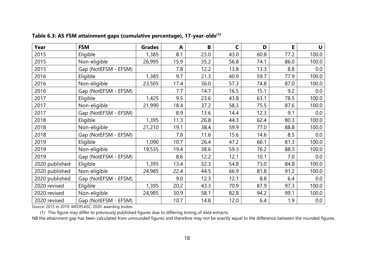| Year           | <b>FSM</b>           | <b>Grades</b> | A    | B    | $\mathsf{C}$ | D    | E    | $\mathbf U$ |
|----------------|----------------------|---------------|------|------|--------------|------|------|-------------|
| 2015           | Eligible             | 1,385         | 8.1  | 23.0 | 43.0         | 60.8 | 77.2 | 100.0       |
| 2015           | Non-eligible         | 26,995        | 15.9 | 35.2 | 56.8         | 74.1 | 86.0 | 100.0       |
| 2015           | Gap (NotEFSM - EFSM) |               | 7.8  | 12.2 | 13.8         | 13.3 | 8.8  | 0.0         |
| 2016           | Eligible             | 1,385         | 9.7  | 21.3 | 40.9         | 59.7 | 77.9 | 100.0       |
| 2016           | Non-eligible         | 23,505        | 17.4 | 36.0 | 57.3         | 74.8 | 87.0 | 100.0       |
| 2016           | Gap (NotEFSM - EFSM) |               | 7.7  | 14.7 | 16.5         | 15.1 | 9.2  | 0.0         |
| 2017           | Eligible             | 1,425         | 9.5  | 23.6 | 43.8         | 63.1 | 78.5 | 100.0       |
| 2017           | Non-eligible         | 21,990        | 18.4 | 37.2 | 58.3         | 75.5 | 87.6 | 100.0       |
| 2017           | Gap (NotEFSM - EFSM) |               | 8.9  | 13.6 | 14.4         | 12.3 | 9.1  | $0.0\,$     |
| 2018           | Eligible             | 1,395         | 11.3 | 26.8 | 44.3         | 62.4 | 80.3 | 100.0       |
| 2018           | Non-eligible         | 21,210        | 19.1 | 38.4 | 59.9         | 77.0 | 88.8 | 100.0       |
| 2018           | Gap (NotEFSM - EFSM) |               | 7.8  | 11.6 | 15.6         | 14.6 | 8.5  | 0.0         |
| 2019           | Eligible             | 1,090         | 10.7 | 26.4 | 47.2         | 66.1 | 81.3 | 100.0       |
| 2019           | Non-eligible         | 19,535        | 19.4 | 38.6 | 59.3         | 76.2 | 88.3 | 100.0       |
| 2019           | Gap (NotEFSM - EFSM) |               | 8.6  | 12.2 | 12.1         | 10.1 | 7.0  | 0.0         |
| 2020 published | Eligible             | 1,395         | 13.4 | 32.3 | 54.8         | 73.0 | 84.8 | 100.0       |
| 2020 published | Non-eligible         | 24,985        | 22.4 | 44.5 | 66.9         | 81.8 | 91.2 | 100.0       |
| 2020 published | Gap (NotEFSM - EFSM) |               | 9.0  | 12.3 | 12.1         | 8.8  | 6.4  | 0.0         |
| 2020 revised   | Eligible             | 1,395         | 20.2 | 43.3 | 70.9         | 87.9 | 97.3 | 100.0       |
| 2020 revised   | Non-eligible         | 24,985        | 30.9 | 58.1 | 82.8         | 94.2 | 99.1 | 100.0       |
| 2020 revised   | Gap (NotEFSM - EFSM) |               | 10.7 | 14.8 | 12.0         | 6.4  | 1.9  | 0.0         |

**Table 6.3: AS FSM attainment gaps (cumulative percentage), 17-year-olds(1)**

Source: 2015 to 2019: WEDPLASC; 2020: awarding bodies

(1) This figure may differ to previously published figures due to differing timing of data extracts.

NB the attainment gap has been calculated from unrounded figures and therefore may not be exactly equal to the difference between the rounded figures.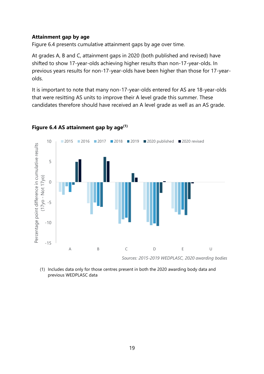#### <span id="page-18-0"></span>**Attainment gap by age**

Figure 6.4 presents cumulative attainment gaps by age over time.

At grades A, B and C, attainment gaps in 2020 (both published and revised) have shifted to show 17-year-olds achieving higher results than non-17-year-olds. In previous years results for non-17-year-olds have been higher than those for 17-yearolds.

It is important to note that many non-17-year-olds entered for AS are 18-year-olds that were resitting AS units to improve their A level grade this summer. These candidates therefore should have received an A level grade as well as an AS grade.



#### **Figure 6.4 AS attainment gap by age(1)**

(1) Includes data only for those centres present in both the 2020 awarding body data and previous WEDPLASC data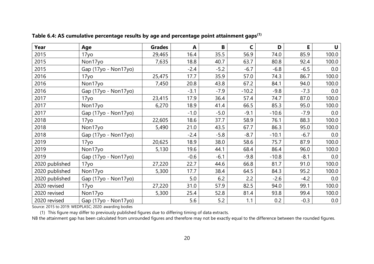| Year           | Age                  | <b>Grades</b> | A      | $\, {\bf B}$ | C       | D       | E      | U     |
|----------------|----------------------|---------------|--------|--------------|---------|---------|--------|-------|
| 2015           | 17yo                 | 29,465        | 16.4   | 35.5         | 56.9    | 74.0    | 85.9   | 100.0 |
| 2015           | Non17yo              | 7,635         | 18.8   | 40.7         | 63.7    | 80.8    | 92.4   | 100.0 |
| 2015           | Gap (17yo - Non17yo) |               | $-2.4$ | $-5.2$       | $-6.7$  | $-6.8$  | $-6.5$ | 0.0   |
| 2016           | 17yo                 | 25,475        | 17.7   | 35.9         | 57.0    | 74.3    | 86.7   | 100.0 |
| 2016           | Non17yo              | 7,450         | 20.8   | 43.8         | 67.2    | 84.1    | 94.0   | 100.0 |
| 2016           | Gap (17yo - Non17yo) |               | $-3.1$ | $-7.9$       | $-10.2$ | $-9.8$  | $-7.3$ | 0.0   |
| 2017           | 17yo                 | 23,415        | 17.9   | 36.4         | 57.4    | 74.7    | 87.0   | 100.0 |
| 2017           | Non17yo              | 6,270         | 18.9   | 41.4         | 66.5    | 85.3    | 95.0   | 100.0 |
| 2017           | Gap (17yo - Non17yo) |               | $-1.0$ | $-5.0$       | $-9.1$  | $-10.6$ | $-7.9$ | 0.0   |
| 2018           | 17yo                 | 22,605        | 18.6   | 37.7         | 58.9    | 76.1    | 88.3   | 100.0 |
| 2018           | Non17yo              | 5,490         | 21.0   | 43.5         | 67.7    | 86.3    | 95.0   | 100.0 |
| 2018           | Gap (17yo - Non17yo) |               | $-2.4$ | $-5.8$       | $-8.7$  | $-10.1$ | $-6.7$ | 0.0   |
| 2019           | 17yo                 | 20,625        | 18.9   | 38.0         | 58.6    | 75.7    | 87.9   | 100.0 |
| 2019           | Non17yo              | 5,130         | 19.6   | 44.1         | 68.4    | 86.4    | 96.0   | 100.0 |
| 2019           | Gap (17yo - Non17yo) |               | $-0.6$ | $-6.1$       | $-9.8$  | $-10.8$ | $-8.1$ | 0.0   |
| 2020 published | 17yo                 | 27,220        | 22.7   | 44.6         | 66.8    | 81.7    | 91.0   | 100.0 |
| 2020 published | Non17yo              | 5,300         | 17.7   | 38.4         | 64.5    | 84.3    | 95.2   | 100.0 |
| 2020 published | Gap (17yo - Non17yo) |               | 5.0    | 6.2          | 2.2     | $-2.6$  | $-4.2$ | 0.0   |
| 2020 revised   | 17yo                 | 27,220        | 31.0   | 57.9         | 82.5    | 94.0    | 99.1   | 100.0 |
| 2020 revised   | Non17yo              | 5,300         | 25.4   | 52.8         | 81.4    | 93.8    | 99.4   | 100.0 |
| 2020 revised   | Gap (17yo - Non17yo) |               | 5.6    | 5.2          | 1.1     | 0.2     | $-0.3$ | 0.0   |

**Table 6.4: AS cumulative percentage results by age and percentage point attainment gaps(1)**

Source: 2015 to 2019: WEDPLASC; 2020: awarding bodies

(1) This figure may differ to previously published figures due to differing timing of data extracts.

NB the attainment gap has been calculated from unrounded figures and therefore may not be exactly equal to the difference between the rounded figures.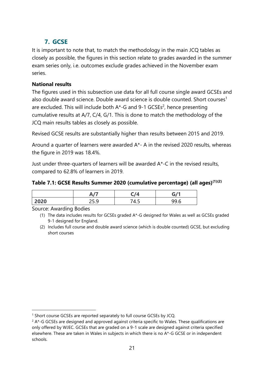# <span id="page-20-0"></span>**7. GCSE**

It is important to note that, to match the methodology in the main JCQ tables as closely as possible, the figures in this section relate to grades awarded in the summer exam series only, i.e. outcomes exclude grades achieved in the November exam series.

## <span id="page-20-1"></span>**National results**

The figures used in this subsection use data for all full course single award GCSEs and also double award science. Double award science is double counted. Short courses<sup>1</sup> are excluded. This will include both  $A^*$ -G and 9-1 GCSEs<sup>2</sup>, hence presenting cumulative results at A/7, C/4, G/1. This is done to match the methodology of the JCQ main results tables as closely as possible.

Revised GCSE results are substantially higher than results between 2015 and 2019.

Around a quarter of learners were awarded A\*- A in the revised 2020 results, whereas the figure in 2019 was 18.4%.

Just under three-quarters of learners will be awarded A\*-C in the revised results, compared to 62.8% of learners in 2019.

**Table 7.1: GCSE Results Summer 2020 (cumulative percentage) (all ages) (1)(2)**

|      | $\sqrt{2}$<br>. . | --              | c11                     |
|------|-------------------|-----------------|-------------------------|
| 2020 | ~~<br>ر.ر_        | -<br>. .<br>᠇.J | $\Omega$<br>uu 1<br>しいい |

Source: Awarding Bodies

<sup>(1)</sup> The data includes results for GCSEs graded A\*-G designed for Wales as well as GCSEs graded 9-1 designed for England.

<sup>(2)</sup> Includes full course and double award science (which is double counted) GCSE, but excluding short courses

<sup>&</sup>lt;sup>1</sup> Short course GCSEs are reported separately to full course GCSEs by JCQ.

 $2 A*$ -G GCSEs are designed and approved against criteria specific to Wales. These qualifications are only offered by WJEC. GCSEs that are graded on a 9-1 scale are designed against criteria specified elsewhere. These are taken in Wales in subjects in which there is no A\*-G GCSE or in independent schools.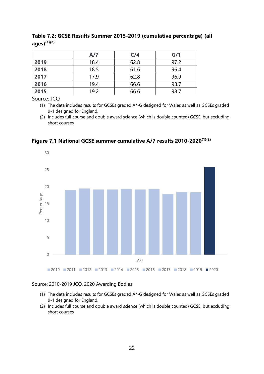|      | A/7  | C/4  | G/1  |
|------|------|------|------|
| 2019 | 18.4 | 62.8 | 97.2 |
| 2018 | 18.5 | 61.6 | 96.4 |
| 2017 | 17.9 | 62.8 | 96.9 |
| 2016 | 19.4 | 66.6 | 98.7 |
| 2015 | 19.2 | 66.6 | 98.7 |

**Table 7.2: GCSE Results Summer 2015-2019 (cumulative percentage) (all ages)(1)(2)**

Source: JCQ

(1) The data includes results for GCSEs graded A\*-G designed for Wales as well as GCSEs graded 9-1 designed for England.

(2) Includes full course and double award science (which is double counted) GCSE, but excluding short courses

**Figure 7.1 National GCSE summer cumulative A/7 results 2010-2020(1)(2)**



#### Source: 2010-2019 JCQ, 2020 Awarding Bodies

- (1) The data includes results for GCSEs graded A\*-G designed for Wales as well as GCSEs graded 9-1 designed for England.
- (2) Includes full course and double award science (which is double counted) GCSE, but excluding short courses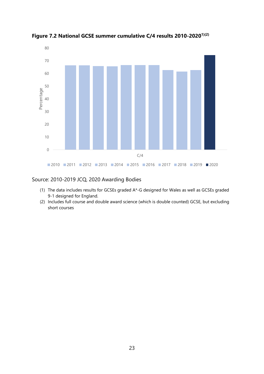

**Figure 7.2 National GCSE summer cumulative C/4 results 2010-20201)(2)**

#### Source: 2010-2019 JCQ, 2020 Awarding Bodies

- (1) The data includes results for GCSEs graded A\*-G designed for Wales as well as GCSEs graded 9-1 designed for England.
- (2) Includes full course and double award science (which is double counted) GCSE, but excluding short courses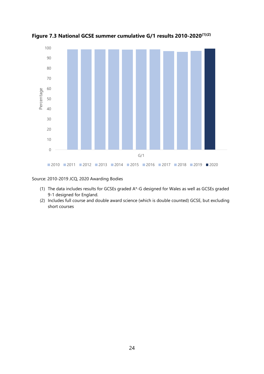

**Figure 7.3 National GCSE summer cumulative G/1 results 2010-2020(1)(2)**

Source: 2010-2019 JCQ, 2020 Awarding Bodies

- (1) The data includes results for GCSEs graded A\*-G designed for Wales as well as GCSEs graded 9-1 designed for England.
- (2) Includes full course and double award science (which is double counted) GCSE, but excluding short courses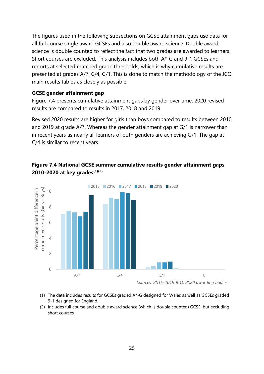The figures used in the following subsections on GCSE attainment gaps use data for all full course single award GCSEs and also double award science. Double award science is double counted to reflect the fact that two grades are awarded to learners. Short courses are excluded. This analysis includes both A\*-G and 9-1 GCSEs and reports at selected matched grade thresholds, which is why cumulative results are presented at grades A/7, C/4, G/1. This is done to match the methodology of the JCQ main results tables as closely as possible.

#### <span id="page-24-0"></span>**GCSE gender attainment gap**

Figure 7.4 presents cumulative attainment gaps by gender over time. 2020 revised results are compared to results in 2017, 2018 and 2019.

Revised 2020 results are higher for girls than boys compared to results between 2010 and 2019 at grade A/7. Whereas the gender attainment gap at G/1 is narrower than in recent years as nearly all learners of both genders are achieving G/1. The gap at C/4 is similar to recent years.





- *Sources: 2015-2019 JCQ, 2020 awarding bodies*
- (1) The data includes results for GCSEs graded A\*-G designed for Wales as well as GCSEs graded 9-1 designed for England.
- (2) Includes full course and double award science (which is double counted) GCSE, but excluding short courses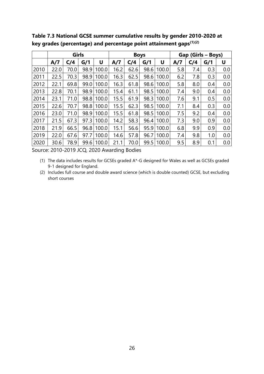|      | Girls |      |      |       | <b>Boys</b> |      |      | Gap (Girls – Boys) |     |     |     |     |
|------|-------|------|------|-------|-------------|------|------|--------------------|-----|-----|-----|-----|
|      | A/7   | C/4  | G/1  | U     | A/7         | C/4  | G/1  | U                  | A/7 | C/4 | G/1 | U   |
| 2010 | 22.0  | 70.0 | 98.9 | 100.0 | 16.2        | 62.6 | 98.6 | 100.0              | 5.8 | 7.4 | 0.3 | 0.0 |
| 2011 | 22.5  | 70.3 | 98.9 | 100.0 | 16.3        | 62.5 | 98.6 | 100.0              | 6.2 | 7.8 | 0.3 | 0.0 |
| 2012 | 22.1  | 69.8 | 99.0 | 100.0 | 16.3        | 61.8 | 98.6 | 100.0              | 5.8 | 8.0 | 0.4 | 0.0 |
| 2013 | 22.8  | 70.1 | 98.9 | 100.0 | 15.4        | 61.1 | 98.5 | 100.0              | 7.4 | 9.0 | 0.4 | 0.0 |
| 2014 | 23.1  | 71.0 | 98.8 | 100.0 | 15.5        | 61.9 | 98.3 | 100.0              | 7.6 | 9.1 | 0.5 | 0.0 |
| 2015 | 22.6  | 70.7 | 98.8 | 100.0 | 15.5        | 62.3 | 98.5 | 100.0              | 7.1 | 8.4 | 0.3 | 0.0 |
| 2016 | 23.0  | 71.0 | 98.9 | 100.0 | 15.5        | 61.8 | 98.5 | 100.0              | 7.5 | 9.2 | 0.4 | 0.0 |
| 2017 | 21.5  | 67.3 | 97.3 | 100.0 | 14.2        | 58.3 | 96.4 | 100.0              | 7.3 | 9.0 | 0.9 | 0.0 |
| 2018 | 21.9  | 66.5 | 96.8 | 100.0 | 15.1        | 56.6 | 95.9 | 100.0              | 6.8 | 9.9 | 0.9 | 0.0 |
| 2019 | 22.0  | 67.6 | 97.7 | 100.0 | 14.6        | 57.8 | 96.7 | 100.0              | 7.4 | 9.8 | 1.0 | 0.0 |
| 2020 | 30.6  | 78.9 | 99.6 | 100.0 | 21.1        | 70.0 | 99.5 | 100.0              | 9.5 | 8.9 | 0.1 | 0.0 |

**Table 7.3 National GCSE summer cumulative results by gender 2010-2020 at key grades (percentage) and percentage point attainment gaps(1)(2)**

Source: 2010-2019 JCQ, 2020 Awarding Bodies

(1) The data includes results for GCSEs graded A\*-G designed for Wales as well as GCSEs graded 9-1 designed for England.

(2) Includes full course and double award science (which is double counted) GCSE, but excluding short courses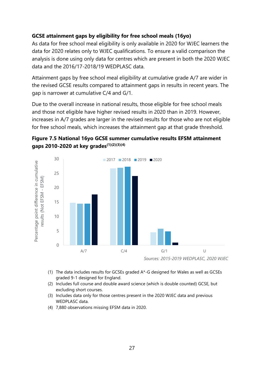### <span id="page-26-0"></span>**GCSE attainment gaps by eligibility for free school meals (16yo)**

As data for free school meal eligibility is only available in 2020 for WJEC learners the data for 2020 relates only to WJEC qualifications. To ensure a valid comparison the analysis is done using only data for centres which are present in both the 2020 WJEC data and the 2016/17-2018/19 WEDPLASC data.

Attainment gaps by free school meal eligibility at cumulative grade A/7 are wider in the revised GCSE results compared to attainment gaps in results in recent years. The gap is narrower at cumulative C/4 and G/1.

Due to the overall increase in national results, those eligible for free school meals and those not eligible have higher revised results in 2020 than in 2019. However, increases in A/7 grades are larger in the revised results for those who are not eligible for free school meals, which increases the attainment gap at that grade threshold.





- (1) The data includes results for GCSEs graded A\*-G designed for Wales as well as GCSEs graded 9-1 designed for England.
- (2) Includes full course and double award science (which is double counted) GCSE, but excluding short courses.
- (3) Includes data only for those centres present in the 2020 WJEC data and previous WEDPLASC data.
- (4) 7,880 observations missing EFSM data in 2020.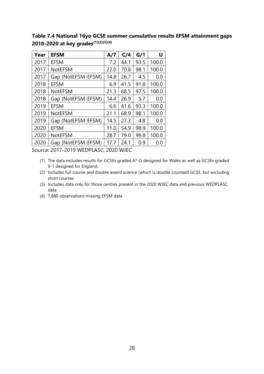**Table 7.4 National 16yo GCSE summer cumulative results EFSM attainment gaps 2010-2020 at key grades(1)(2)(3)(4)**

| Year | <b>EFSM</b>        | A/7  | C/4  | G/1  | U     |
|------|--------------------|------|------|------|-------|
| 2017 | <b>EFSM</b>        | 7.2  | 44.1 | 93.5 | 100.0 |
| 2017 | <b>NotEFSM</b>     | 22.0 | 70.8 | 98.1 | 100.0 |
| 2017 | Gap (NotEFSM-EFSM) | 14.8 | 26.7 | 4.5  | 0.0   |
| 2018 | <b>EFSM</b>        | 6.9  | 41.5 | 91.8 | 100.0 |
| 2018 | <b>NotEFSM</b>     | 21.3 | 68.5 | 97.5 | 100.0 |
| 2018 | Gap (NotEFSM-EFSM) | 14.4 | 26.9 | 5.7  | 0.0   |
| 2019 | <b>EFSM</b>        | 6.6  | 41.6 | 93.3 | 100.0 |
| 2019 | <b>NotEFSM</b>     | 21.1 | 68.9 | 98.1 | 100.0 |
| 2019 | Gap (NotEFSM-EFSM) | 14.5 | 27.3 | 4.8  | 0.0   |
| 2020 | <b>EFSM</b>        | 11.0 | 54.9 | 98.9 | 100.0 |
| 2020 | <b>NotEFSM</b>     | 28.7 | 79.0 | 99.8 | 100.0 |
| 2020 | Gap (NotEFSM-EFSM) | 17.7 | 24.1 | 0.9  | 0.0   |

Source: 2017-2019 WEDPLASC, 2020 WJEC

- (1) The data includes results for GCSEs graded A\*-G designed for Wales as well as GCSEs graded 9-1 designed for England.
- (2) Includes full course and double award science (which is double counted) GCSE, but excluding short courses
- (3) Includes data only for those centres present in the 2020 WJEC data and previous WEDPLASC data
- (4) 7,880 observations missing EFSM data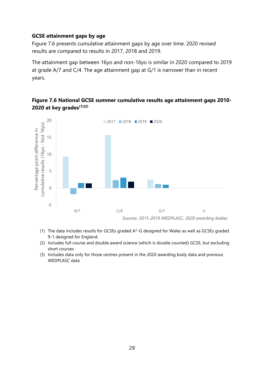#### <span id="page-28-0"></span>**GCSE attainment gaps by age**

Figure 7.6 presents cumulative attainment gaps by age over time. 2020 revised results are compared to results in 2017, 2018 and 2019.

The attainment gap between 16yo and non-16yo is similar in 2020 compared to 2019 at grade A/7 and C/4. The age attainment gap at G/1 is narrower than in recent years.

# 20 ■ 2017 ■ 2018 ■ 2019 ■ 2020 cumulative results (16yo - Not 16yo) cumulative results (16yo - Not 16yo) Percentage point difference in Percentage point difference in 15 10 5 0 -5 A/7 C/4 G/1 U *Sources: 2015-2019 WEDPLASC, 2020 awarding bodies*

## **Figure 7.6 National GCSE summer cumulative results age attainment gaps 2010- 2020 at key grades(1)(2)**

- (1) The data includes results for GCSEs graded A\*-G designed for Wales as well as GCSEs graded 9-1 designed for England.
- (2) Includes full course and double award science (which is double counted) GCSE, but excluding short courses
- (3) Includes data only for those centres present in the 2020 awarding body data and previous WEDPLASC data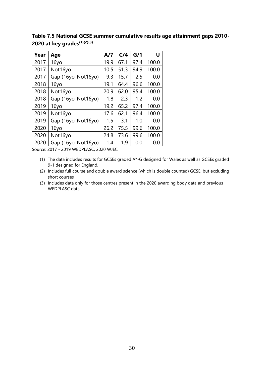**Table 7.5 National GCSE summer cumulative results age attainment gaps 2010- 2020 at key grades(1)(2)(3)**

| Year | Age                | A/7    | C/4  | G/1  | U     |
|------|--------------------|--------|------|------|-------|
| 2017 | 16yo               | 19.9   | 67.1 | 97.4 | 100.0 |
| 2017 | Not16yo            | 10.5   | 51.3 | 94.9 | 100.0 |
| 2017 | Gap (16yo-Not16yo) | 9.3    | 15.7 | 2.5  | 0.0   |
| 2018 | 16yo               | 19.1   | 64.4 | 96.6 | 100.0 |
| 2018 | Not16yo            | 20.9   | 62.0 | 95.4 | 100.0 |
| 2018 | Gap (16yo-Not16yo) | $-1.8$ | 2.3  | 1.2  | 0.0   |
| 2019 | 16yo               | 19.2   | 65.2 | 97.4 | 100.0 |
| 2019 | Not16yo            | 17.6   | 62.1 | 96.4 | 100.0 |
| 2019 | Gap (16yo-Not16yo) | 1.5    | 3.1  | 1.0  | 0.0   |
| 2020 | 16yo               | 26.2   | 75.5 | 99.6 | 100.0 |
| 2020 | Not16yo            | 24.8   | 73.6 | 99.6 | 100.0 |
| 2020 | Gap (16yo-Not16yo) | 1.4    | 1.9  | 0.0  | 0.0   |

Source: 2017 - 2019 WEDPLASC, 2020 WJEC

- (1) The data includes results for GCSEs graded A\*-G designed for Wales as well as GCSEs graded 9-1 designed for England.
- (2) Includes full course and double award science (which is double counted) GCSE, but excluding short courses
- (3) Includes data only for those centres present in the 2020 awarding body data and previous WEDPLASC data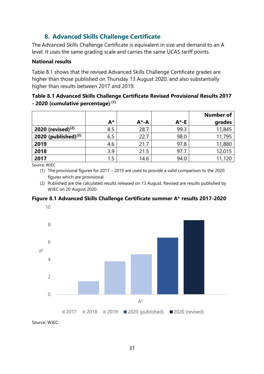# **8. Advanced Skills Challenge Certificate**

<span id="page-30-0"></span>The Advanced Skills Challenge Certificate is equivalent in size and demand to an A level. It uses the same grading scale and carries the same UCAS tariff points.

#### <span id="page-30-1"></span>**National results**

Table 8.1 shows that the revised Advanced Skills Challenge Certificate grades are higher than those published on Thursday 13 August 2020, and also substantially higher than results between 2017 and 2019.

### **Table 8.1 Advanced Skills Challenge Certificate Revised Provisional Results 2017 - 2020 (cumulative percentage) (1)**

|                        |       |           |          | <b>Number of</b> |
|------------------------|-------|-----------|----------|------------------|
|                        | $A^*$ | $A^* - A$ | $A^*$ -E | grades           |
| 2020 (revised) $(2)$   | 8.5   | 28.7      | 99.3     | 11,845           |
| 2020 (published) $(2)$ | 6.5   | 22.7      | 98.0     | 11,795           |
| 2019                   | 4.6   | 21.7      | 97.8     | 11,880           |
| 2018                   | 3.9   | 21.5      | 97.7     | 12,015           |
| 2017                   | 1.5   | 14.6      | 94.0     | 11,120           |

Source: WJEC

- (1) The provisional figures for 2017 2019 are used to provide a valid comparison to the 2020 figures which are provisional
- (2) Published are the calculated results released on 13 August. Revised are results published by WJEC on 20 August 2020.

#### **Figure 8.1 Advanced Skills Challenge Certificate summer A\* results 2017-2020**



Source: WJEC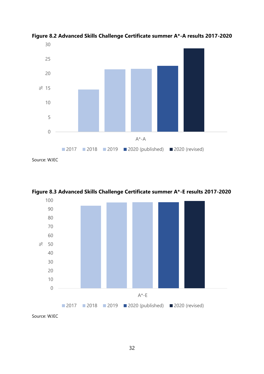

**Figure 8.2 Advanced Skills Challenge Certificate summer A\*-A results 2017-2020**



**Figure 8.3 Advanced Skills Challenge Certificate summer A\*-E results 2017-2020**

Source: WJEC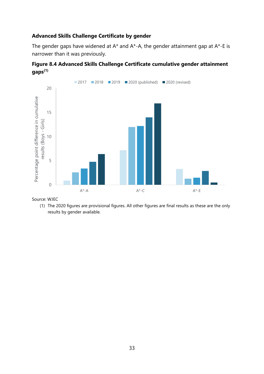#### **Advanced Skills Challenge Certificate by gender**

The gender gaps have widened at  $A^*$  and  $A^*$ -A, the gender attainment gap at  $A^*$ -E is narrower than it was previously.





Source: WJEC

(1) The 2020 figures are provisional figures. All other figures are final results as these are the only results by gender available.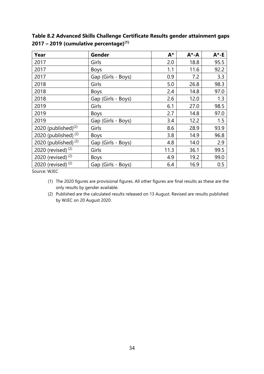| Year                          | Gender             | $A^*$ | $A^* - A$ | $A^*$ -E |
|-------------------------------|--------------------|-------|-----------|----------|
| 2017                          | Girls              |       | 18.8      | 95.5     |
| 2017                          | <b>Boys</b>        | 1.1   | 11.6      | 92.2     |
| 2017                          | Gap (Girls - Boys) | 0.9   | 7.2       | 3.3      |
| 2018                          | Girls              | 5.0   | 26.8      | 98.3     |
| 2018                          | <b>Boys</b>        | 2.4   | 14.8      | 97.0     |
| 2018                          | Gap (Girls - Boys) | 2.6   | 12.0      | 1.3      |
| 2019                          | Girls              | 6.1   | 27.0      | 98.5     |
| 2019                          | <b>Boys</b>        | 2.7   | 14.8      | 97.0     |
| 2019                          | Gap (Girls - Boys) | 3.4   | 12.2      | 1.5      |
| 2020 (published) $(2)$        | Girls              | 8.6   | 28.9      | 93.9     |
| 2020 (published) $(2)$        | <b>Boys</b>        | 3.8   | 14.9      | 96.8     |
| 2020 (published) $(2)$        | Gap (Girls - Boys) | 4.8   | 14.0      | 2.9      |
| 2020 (revised) <sup>(2)</sup> | Girls              | 11.3  | 36.1      | 99.5     |
| 2020 (revised) $(2)$          | <b>Boys</b>        | 4.9   | 19.2      | 99.0     |
| 2020 (revised) <sup>(2)</sup> | Gap (Girls - Boys) | 6.4   | 16.9      | 0.5      |

**Table 8.2 Advanced Skills Challenge Certificate Results gender attainment gaps – 2019 (cumulative percentage)(1)**

Source: WJEC

- (1) The 2020 figures are provisional figures. All other figures are final results as these are the only results by gender available.
- (2) Published are the calculated results released on 13 August. Revised are results published by WJEC on 20 August 2020.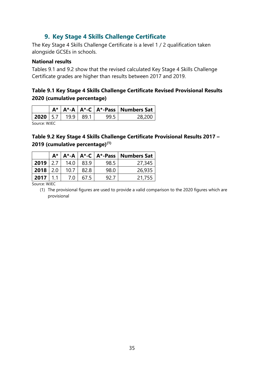# **9. Key Stage 4 Skills Challenge Certificate**

<span id="page-34-0"></span>The Key Stage 4 Skills Challenge Certificate is a level 1 / 2 qualification taken alongside GCSEs in schools.

#### <span id="page-34-1"></span>**National results**

Tables 9.1 and 9.2 show that the revised calculated Key Stage 4 Skills Challenge Certificate grades are higher than results between 2017 and 2019.

### **Table 9.1 Key Stage 4 Skills Challenge Certificate Revised Provisional Results 2020 (cumulative percentage)**

|             |  |  |      |  | $A^*$   $A^*$ -A   $A^*$ -C   $A^*$ -Pass   Numbers Sat |  |
|-------------|--|--|------|--|---------------------------------------------------------|--|
| 2020 57 199 |  |  | 89 1 |  |                                                         |  |
|             |  |  |      |  |                                                         |  |

Source: WJEC

## **Table 9.2 Key Stage 4 Skills Challenge Certificate Provisional Results 2017 – 2019 (cumulative percentage)(1)**

|              | А*  |      |      |      | $A^*$ -A   A <sup>*</sup> -C   A <sup>*</sup> -Pass   Numbers Sat |
|--------------|-----|------|------|------|-------------------------------------------------------------------|
| 2019         | 2.7 | 14.0 | 83.9 | 98.5 | 27,345                                                            |
| $2018$   2.0 |     | 10.7 | 82.8 | 98.0 | 26,935                                                            |
| 2017         |     | 7.0  | 67.5 | 92 7 | 21,755                                                            |

Source: WJEC

(1) The provisional figures are used to provide a valid comparison to the 2020 figures which are provisional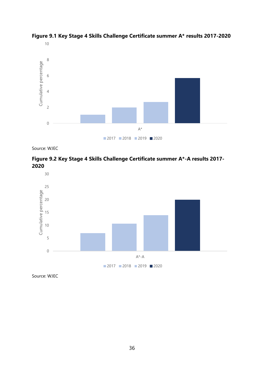

**Figure 9.1 Key Stage 4 Skills Challenge Certificate summer A\* results 2017-2020**

Source: WJEC

**Figure 9.2 Key Stage 4 Skills Challenge Certificate summer A\*-A results 2017-** 



Source: WJEC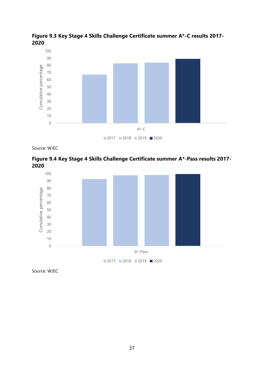

**Figure 9.3 Key Stage 4 Skills Challenge Certificate summer A\*-C results 2017-** 

Source: WJEC





Source: WJEC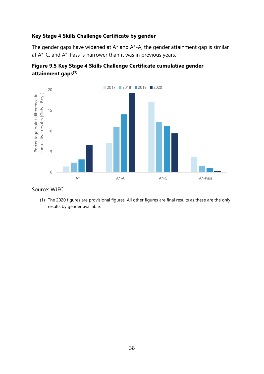#### **Key Stage 4 Skills Challenge Certificate by gender**

The gender gaps have widened at A\* and A\*-A, the gender attainment gap is similar at A\*-C, and A\*-Pass is narrower than it was in previous years.





#### Source: WJEC

(1) The 2020 figures are provisional figures. All other figures are final results as these are the only results by gender available.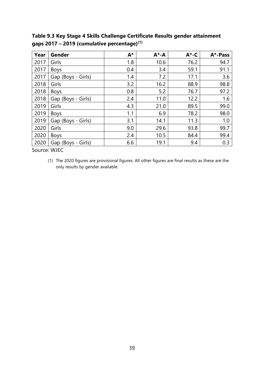**Year Gender A\* A\*-A A\*-C A\*-Pass** 2017 | Girls | 1.8 | 10.6 | 76.2 | 94.7 2017 | Boys | 0.4 | 3.4 | 59.1 | 91.1 2017 Gap (Boys - Girls)  $\begin{array}{|c|c|c|c|c|c|c|c|c|} \hline \end{array}$  1.4  $\begin{array}{|c|c|c|c|c|c|} \hline \end{array}$  17.1  $\begin{array}{|c|c|c|c|c|} \hline \end{array}$  3.6 2018 | Girls 16.2 | 3.2 | 16.2 | 88.9 | 98.8 2018 Boys 1 0.8 5.2 76.7 97.2 2018 | Gap (Boys - Girls) | 2.4 | 11.0 | 12.2 | 1.6 2019 | Girls | 4.3 | 21.0 | 89.5 | 99.0 2019 Boys 1.1 6.9 78.2 98.0 2019 Gap (Boys - Girls)  $\begin{vmatrix} 3.1 & 14.1 & 11.3 & 11.0 \end{vmatrix}$ 2020 Girls 19.0 29.6 93.8 99.7 2020 | Boys | 2.4 | 10.5 | 84.4 | 99.4  $2020 |$  Gap (Boys - Girls)  $|$  6.6 19.1 9.4 9.4 0.3

**Table 9.3 Key Stage 4 Skills Challenge Certificate Results gender attainment gaps 2017 – 2019 (cumulative percentage)(1)**

Source: WJEC

(1) The 2020 figures are provisional figures. All other figures are final results as these are the only results by gender available.